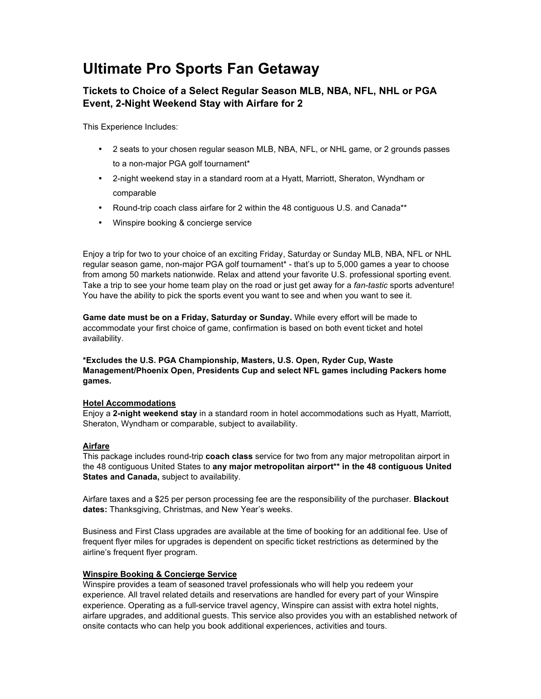# **Ultimate Pro Sports Fan Getaway**

## **Tickets to Choice of a Select Regular Season MLB, NBA, NFL, NHL or PGA Event, 2-Night Weekend Stay with Airfare for 2**

This Experience Includes:

- 2 seats to your chosen regular season MLB, NBA, NFL, or NHL game, or 2 grounds passes to a non-major PGA golf tournament\*
- 2-night weekend stay in a standard room at a Hyatt, Marriott, Sheraton, Wyndham or comparable
- Round-trip coach class airfare for 2 within the 48 contiguous U.S. and Canada\*\*
- Winspire booking & concierge service

Enjoy a trip for two to your choice of an exciting Friday, Saturday or Sunday MLB, NBA, NFL or NHL regular season game, non-major PGA golf tournament\* - that's up to 5,000 games a year to choose from among 50 markets nationwide. Relax and attend your favorite U.S. professional sporting event. Take a trip to see your home team play on the road or just get away for a *fan-tastic* sports adventure! You have the ability to pick the sports event you want to see and when you want to see it.

**Game date must be on a Friday, Saturday or Sunday.** While every effort will be made to accommodate your first choice of game, confirmation is based on both event ticket and hotel availability.

**\*Excludes the U.S. PGA Championship, Masters, U.S. Open, Ryder Cup, Waste Management/Phoenix Open, Presidents Cup and select NFL games including Packers home games.**

#### **Hotel Accommodations**

Enjoy a **2-night weekend stay** in a standard room in hotel accommodations such as Hyatt, Marriott, Sheraton, Wyndham or comparable, subject to availability.

#### **Airfare**

This package includes round-trip **coach class** service for two from any major metropolitan airport in the 48 contiguous United States to **any major metropolitan airport\*\* in the 48 contiguous United States and Canada,** subject to availability.

Airfare taxes and a \$25 per person processing fee are the responsibility of the purchaser. **Blackout dates:** Thanksgiving, Christmas, and New Year's weeks.

Business and First Class upgrades are available at the time of booking for an additional fee. Use of frequent flyer miles for upgrades is dependent on specific ticket restrictions as determined by the airline's frequent flyer program.

#### **Winspire Booking & Concierge Service**

Winspire provides a team of seasoned travel professionals who will help you redeem your experience. All travel related details and reservations are handled for every part of your Winspire experience. Operating as a full-service travel agency, Winspire can assist with extra hotel nights, airfare upgrades, and additional guests. This service also provides you with an established network of onsite contacts who can help you book additional experiences, activities and tours.